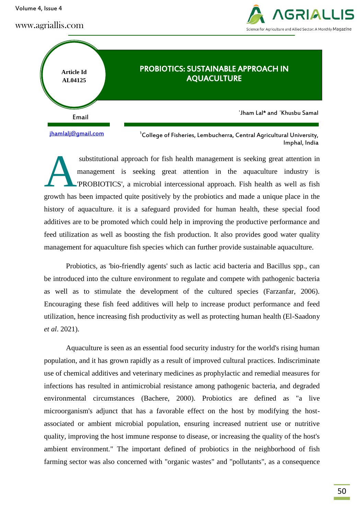Volume 4, Issue 4



Imphal, India



substitutional approach for fish health management is seeking great attention in management is seeking great attention in the aquaculture industry is 'PROBIOTICS', a microbial intercessional approach. Fish health as well as fish growth has been impacted quite positively by the probiotics and made a unique place in the history of aquaculture. it is a safeguard provided for human health, these special food additives are to be promoted which could help in improving the productive performance and feed utilization as well as boosting the fish production. It also provides good water quality management for aquaculture fish species which can further provide sustainable aquaculture. A

Probiotics, as 'bio-friendly agents' such as lactic acid bacteria and Bacillus spp., can be introduced into the culture environment to regulate and compete with pathogenic bacteria as well as to stimulate the development of the cultured species (Farzanfar, 2006). Encouraging these fish feed additives will help to increase product performance and feed utilization, hence increasing fish productivity as well as protecting human health (El-Saadony *et al*. 2021).

Aquaculture is seen as an essential food security industry for the world's rising human population, and it has grown rapidly as a result of improved cultural practices. Indiscriminate use of chemical additives and veterinary medicines as prophylactic and remedial measures for infections has resulted in antimicrobial resistance among pathogenic bacteria, and degraded environmental circumstances (Bachere, 2000). Probiotics are defined as "a live microorganism's adjunct that has a favorable effect on the host by modifying the hostassociated or ambient microbial population, ensuring increased nutrient use or nutritive quality, improving the host immune response to disease, or increasing the quality of the host's ambient environment." The important defined of probiotics in the neighborhood of fish farming sector was also concerned with "organic wastes" and "pollutants", as a consequence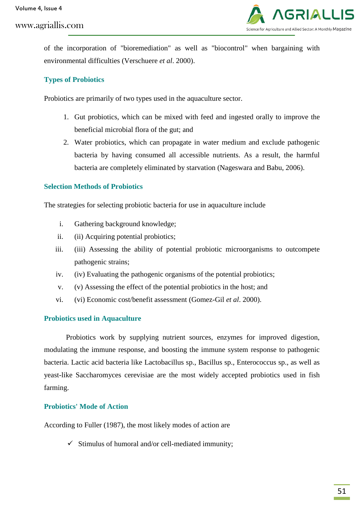

of the incorporation of "bioremediation" as well as "biocontrol" when bargaining with environmental difficulties (Verschuere *et al*. 2000).

## **Types of Probiotics**

Probiotics are primarily of two types used in the aquaculture sector.

- 1. Gut probiotics, which can be mixed with feed and ingested orally to improve the beneficial microbial flora of the gut; and
- 2. Water probiotics, which can propagate in water medium and exclude pathogenic bacteria by having consumed all accessible nutrients. As a result, the harmful bacteria are completely eliminated by starvation (Nageswara and Babu, 2006).

### **Selection Methods of Probiotics**

The strategies for selecting probiotic bacteria for use in aquaculture include

- i. Gathering background knowledge;
- ii. (ii) Acquiring potential probiotics;
- iii. (iii) Assessing the ability of potential probiotic microorganisms to outcompete pathogenic strains;
- iv. (iv) Evaluating the pathogenic organisms of the potential probiotics;
- v. (v) Assessing the effect of the potential probiotics in the host; and
- vi. (vi) Economic cost/benefit assessment (Gomez-Gil *et al*. 2000).

#### **Probiotics used in Aquaculture**

Probiotics work by supplying nutrient sources, enzymes for improved digestion, modulating the immune response, and boosting the immune system response to pathogenic bacteria. Lactic acid bacteria like Lactobacillus sp., Bacillus sp., Enterococcus sp., as well as yeast-like Saccharomyces cerevisiae are the most widely accepted probiotics used in fish farming.

## **Probiotics' Mode of Action**

According to Fuller (1987), the most likely modes of action are

 $\checkmark$  Stimulus of humoral and/or cell-mediated immunity;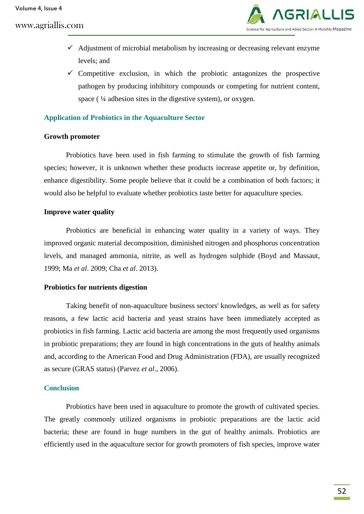

- $\checkmark$  Adjustment of microbial metabolism by increasing or decreasing relevant enzyme levels; and
- $\checkmark$  Competitive exclusion, in which the probiotic antagonizes the prospective pathogen by producing inhibitory compounds or competing for nutrient content, space ( $\frac{1}{4}$  adhesion sites in the digestive system), or oxygen.

#### **Application of Probiotics in the Aquaculture Sector**

#### **Growth promoter**

Probiotics have been used in fish farming to stimulate the growth of fish farming species; however, it is unknown whether these products increase appetite or, by definition, enhance digestibility. Some people believe that it could be a combination of both factors; it would also be helpful to evaluate whether probiotics taste better for aquaculture species.

#### **Improve water quality**

Probiotics are beneficial in enhancing water quality in a variety of ways. They improved organic material decomposition, diminished nitrogen and phosphorus concentration levels, and managed ammonia, nitrite, as well as hydrogen sulphide (Boyd and Massaut, 1999; Ma *et al*. 2009; Cha *et al*. 2013).

#### **Probiotics for nutrients digestion**

Taking benefit of non-aquaculture business sectors' knowledges, as well as for safety reasons, a few lactic acid bacteria and yeast strains have been immediately accepted as probiotics in fish farming. Lactic acid bacteria are among the most frequently used organisms in probiotic preparations; they are found in high concentrations in the guts of healthy animals and, according to the American Food and Drug Administration (FDA), are usually recognized as secure (GRAS status) (Parvez *et al*., 2006).

#### **Conclusion**

Probiotics have been used in aquaculture to promote the growth of cultivated species. The greatly commonly utilized organisms in probiotic preparations are the lactic acid bacteria; these are found in huge numbers in the gut of healthy animals. Probiotics are efficiently used in the aquaculture sector for growth promoters of fish species, improve water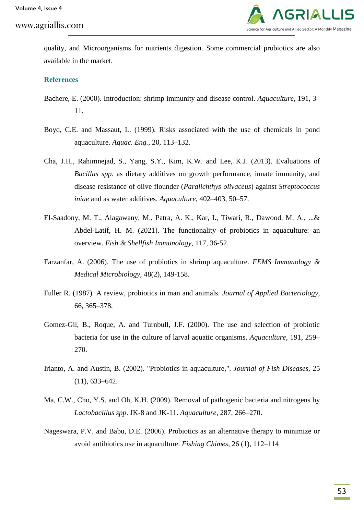

quality, and Microorganisms for nutrients digestion. Some commercial probiotics are also available in the market.

#### **References**

- Bachere, E. (2000). Introduction: shrimp immunity and disease control. *Aquaculture*, 191, 3– 11.
- Boyd, C.E. and Massaut, L. (1999). Risks associated with the use of chemicals in pond aquaculture. *Aquac. Eng.,* 20, 113–132.
- Cha, J.H., Rahimnejad, S., Yang, S.Y., Kim, K.W. and Lee, K.J. (2013). Evaluations of *Bacillus spp*. as dietary additives on growth performance, innate immunity, and disease resistance of olive flounder (*Paralichthys olivaceus*) against *Streptococcus iniae* and as water additives. *Aquaculture*, 402–403, 50–57.
- El-Saadony, M. T., Alagawany, M., Patra, A. K., Kar, I., Tiwari, R., Dawood, M. A., ...& Abdel-Latif, H. M. (2021). The functionality of probiotics in aquaculture: an overview. *Fish & Shellfish Immunology*, 117, 36-52.
- Farzanfar, A. (2006). The use of probiotics in shrimp aquaculture. *FEMS Immunology & Medical Microbiology,* 48(2), 149-158.
- Fuller R. (1987). A review, probiotics in man and animals. *Journal of Applied Bacteriology*, 66, 365–378.
- Gomez-Gil, B., Roque, A. and Turnbull, J.F. (2000). The use and selection of probiotic bacteria for use in the culture of larval aquatic organisms. *Aquaculture,* 191, 259– 270.
- Irianto, A. and Austin, B. (2002). "Probiotics in aquaculture,". *Journal of Fish Diseases*, 25 (11), 633–642.
- Ma, C.W., Cho, Y.S. and Oh, K.H. (2009). Removal of pathogenic bacteria and nitrogens by *Lactobacillus spp*. JK-8 and JK-11. *Aquaculture,* 287, 266–270.
- Nageswara, P.V. and Babu, D.E. (2006). Probiotics as an alternative therapy to minimize or avoid antibiotics use in aquaculture. *Fishing Chimes*, 26 (1), 112–114